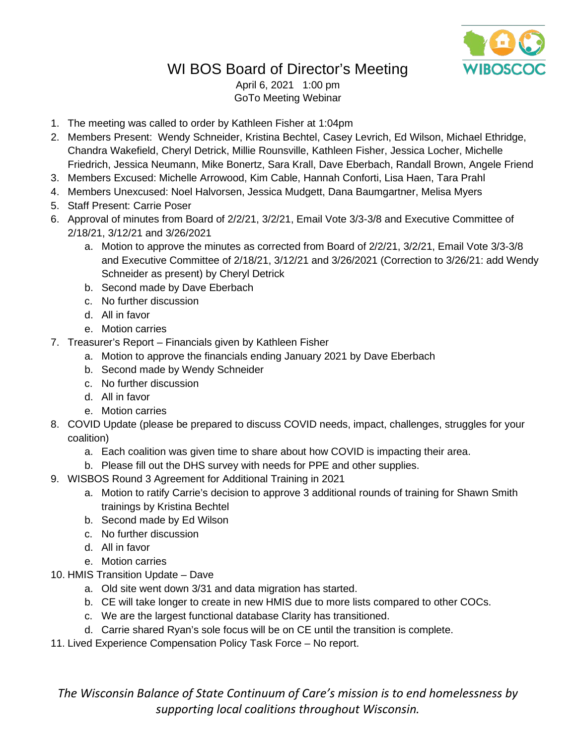

## WI BOS Board of Director's Meeting

April 6, 2021 1:00 pm GoTo Meeting Webinar

- 1. The meeting was called to order by Kathleen Fisher at 1:04pm
- 2. Members Present: Wendy Schneider, Kristina Bechtel, Casey Levrich, Ed Wilson, Michael Ethridge, Chandra Wakefield, Cheryl Detrick, Millie Rounsville, Kathleen Fisher, Jessica Locher, Michelle Friedrich, Jessica Neumann, Mike Bonertz, Sara Krall, Dave Eberbach, Randall Brown, Angele Friend
- 3. Members Excused: Michelle Arrowood, Kim Cable, Hannah Conforti, Lisa Haen, Tara Prahl
- 4. Members Unexcused: Noel Halvorsen, Jessica Mudgett, Dana Baumgartner, Melisa Myers
- 5. Staff Present: Carrie Poser
- 6. Approval of minutes from Board of 2/2/21, 3/2/21, Email Vote 3/3-3/8 and Executive Committee of 2/18/21, 3/12/21 and 3/26/2021
	- a. Motion to approve the minutes as corrected from Board of 2/2/21, 3/2/21, Email Vote 3/3-3/8 and Executive Committee of 2/18/21, 3/12/21 and 3/26/2021 (Correction to 3/26/21: add Wendy Schneider as present) by Cheryl Detrick
	- b. Second made by Dave Eberbach
	- c. No further discussion
	- d. All in favor
	- e. Motion carries
- 7. Treasurer's Report Financials given by Kathleen Fisher
	- a. Motion to approve the financials ending January 2021 by Dave Eberbach
	- b. Second made by Wendy Schneider
	- c. No further discussion
	- d. All in favor
	- e. Motion carries
- 8. COVID Update (please be prepared to discuss COVID needs, impact, challenges, struggles for your coalition)
	- a. Each coalition was given time to share about how COVID is impacting their area.
	- b. Please fill out the DHS survey with needs for PPE and other supplies.
- 9. WISBOS Round 3 Agreement for Additional Training in 2021
	- a. Motion to ratify Carrie's decision to approve 3 additional rounds of training for Shawn Smith trainings by Kristina Bechtel
	- b. Second made by Ed Wilson
	- c. No further discussion
	- d. All in favor
	- e. Motion carries
- 10. HMIS Transition Update Dave
	- a. Old site went down 3/31 and data migration has started.
	- b. CE will take longer to create in new HMIS due to more lists compared to other COCs.
	- c. We are the largest functional database Clarity has transitioned.
	- d. Carrie shared Ryan's sole focus will be on CE until the transition is complete.
- 11. Lived Experience Compensation Policy Task Force No report.

*The Wisconsin Balance of State Continuum of Care's mission is to end homelessness by supporting local coalitions throughout Wisconsin.*